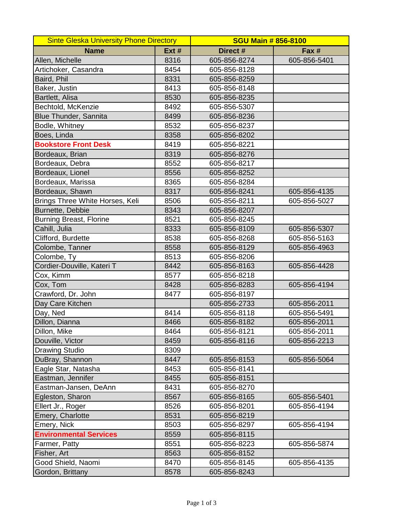| <b>Sinte Gleska University Phone Directory</b> |       | <b>SGU Main # 856-8100</b> |              |
|------------------------------------------------|-------|----------------------------|--------------|
| <b>Name</b>                                    | Ext # | Direct #                   | Fax #        |
| Allen, Michelle                                | 8316  | 605-856-8274               | 605-856-5401 |
| Artichoker, Casandra                           | 8454  | 605-856-8128               |              |
| Baird, Phil                                    | 8331  | 605-856-8259               |              |
| Baker, Justin                                  | 8413  | 605-856-8148               |              |
| Bartlett, Alisa                                | 8530  | 605-856-8235               |              |
| Bechtold, McKenzie                             | 8492  | 605-856-5307               |              |
| Blue Thunder, Sannita                          | 8499  | 605-856-8236               |              |
| Bodle, Whitney                                 | 8532  | 605-856-8237               |              |
| Boes, Linda                                    | 8358  | 605-856-8202               |              |
| <b>Bookstore Front Desk</b>                    | 8419  | 605-856-8221               |              |
| Bordeaux, Brian                                | 8319  | 605-856-8276               |              |
| Bordeaux, Debra                                | 8552  | 605-856-8217               |              |
| Bordeaux, Lionel                               | 8556  | 605-856-8252               |              |
| Bordeaux, Marissa                              | 8365  | 605-856-8284               |              |
| Bordeaux, Shawn                                | 8317  | 605-856-8241               | 605-856-4135 |
| Brings Three White Horses, Keli                | 8506  | 605-856-8211               | 605-856-5027 |
| Burnette, Debbie                               | 8343  | 605-856-8207               |              |
| <b>Burning Breast, Florine</b>                 | 8521  | 605-856-8245               |              |
| Cahill, Julia                                  | 8333  | 605-856-8109               | 605-856-5307 |
| Clifford, Burdette                             | 8538  | 605-856-8268               | 605-856-5163 |
| Colombe, Tanner                                | 8558  | 605-856-8129               | 605-856-4963 |
| Colombe, Ty                                    | 8513  | 605-856-8206               |              |
| Cordier-Douville, Kateri T                     | 8442  | 605-856-8163               | 605-856-4428 |
| Cox, Kimm                                      | 8577  | 605-856-8218               |              |
| Cox, Tom                                       | 8428  | 605-856-8283               | 605-856-4194 |
| Crawford, Dr. John                             | 8477  | 605-856-8197               |              |
| Day Care Kitchen                               |       | 605-856-2733               | 605-856-2011 |
| Day, Ned                                       | 8414  | 605-856-8118               | 605-856-5491 |
| Dillon, Dianna                                 | 8466  | 605-856-8182               | 605-856-2011 |
| Dillon, Mike                                   | 8464  | 605-856-8121               | 605-856-2011 |
| Douville, Victor                               | 8459  | 605-856-8116               | 605-856-2213 |
| <b>Drawing Studio</b>                          | 8309  |                            |              |
| DuBray, Shannon                                | 8447  | 605-856-8153               | 605-856-5064 |
| Eagle Star, Natasha                            | 8453  | 605-856-8141               |              |
| Eastman, Jennifer                              | 8455  | 605-856-8151               |              |
| Eastman-Jansen, DeAnn                          | 8431  | 605-856-8270               |              |
| Egleston, Sharon                               | 8567  | 605-856-8165               | 605-856-5401 |
| Ellert Jr., Roger                              | 8526  | 605-856-8201               | 605-856-4194 |
| Emery, Charlotte                               | 8531  | 605-856-8219               |              |
| Emery, Nick                                    | 8503  | 605-856-8297               | 605-856-4194 |
| <b>Environmental Services</b>                  | 8559  | 605-856-8115               |              |
| Farmer, Patty                                  | 8551  | 605-856-8223               | 605-856-5874 |
| Fisher, Art                                    | 8563  | 605-856-8152               |              |
| Good Shield, Naomi                             | 8470  | 605-856-8145               | 605-856-4135 |
| Gordon, Brittany                               | 8578  | 605-856-8243               |              |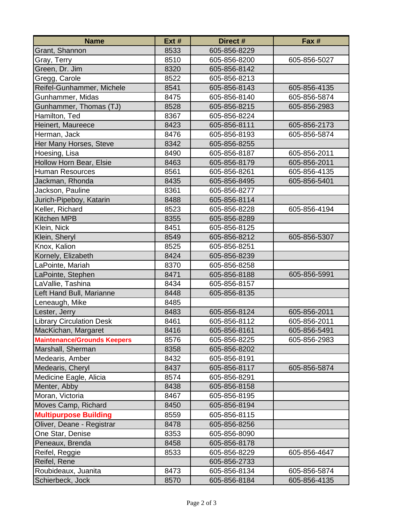| <b>Name</b>                        | Ext # | Direct #     | Fax #        |
|------------------------------------|-------|--------------|--------------|
| Grant, Shannon                     | 8533  | 605-856-8229 |              |
| Gray, Terry                        | 8510  | 605-856-8200 | 605-856-5027 |
| Green, Dr. Jim                     | 8320  | 605-856-8142 |              |
| Gregg, Carole                      | 8522  | 605-856-8213 |              |
| Reifel-Gunhammer, Michele          | 8541  | 605-856-8143 | 605-856-4135 |
| Gunhammer, Midas                   | 8475  | 605-856-8140 | 605-856-5874 |
| Gunhammer, Thomas (TJ)             | 8528  | 605-856-8215 | 605-856-2983 |
| Hamilton, Ted                      | 8367  | 605-856-8224 |              |
| Heinert, Maureece                  | 8423  | 605-856-8111 | 605-856-2173 |
| Herman, Jack                       | 8476  | 605-856-8193 | 605-856-5874 |
| Her Many Horses, Steve             | 8342  | 605-856-8255 |              |
| Hoesing, Lisa                      | 8490  | 605-856-8187 | 605-856-2011 |
| Hollow Horn Bear, Elsie            | 8463  | 605-856-8179 | 605-856-2011 |
| <b>Human Resources</b>             | 8561  | 605-856-8261 | 605-856-4135 |
| Jackman, Rhonda                    | 8435  | 605-856-8495 | 605-856-5401 |
| Jackson, Pauline                   | 8361  | 605-856-8277 |              |
| Jurich-Pipeboy, Katarin            | 8488  | 605-856-8114 |              |
| Keller, Richard                    | 8523  | 605-856-8228 | 605-856-4194 |
| <b>Kitchen MPB</b>                 | 8355  | 605-856-8289 |              |
| Klein, Nick                        | 8451  | 605-856-8125 |              |
| Klein, Sheryl                      | 8549  | 605-856-8212 | 605-856-5307 |
| Knox, Kalion                       | 8525  | 605-856-8251 |              |
| Kornely, Elizabeth                 | 8424  | 605-856-8239 |              |
| LaPointe, Mariah                   | 8370  | 605-856-8258 |              |
| LaPointe, Stephen                  | 8471  | 605-856-8188 | 605-856-5991 |
| LaVallie, Tashina                  | 8434  | 605-856-8157 |              |
| Left Hand Bull, Marianne           | 8448  | 605-856-8135 |              |
| Leneaugh, Mike                     | 8485  |              |              |
| Lester, Jerry                      | 8483  | 605-856-8124 | 605-856-2011 |
| <b>Library Circulation Desk</b>    | 8461  | 605-856-8112 | 605-856-2011 |
| MacKichan, Margaret                | 8416  | 605-856-8161 | 605-856-5491 |
| <b>Maintenance/Grounds Keepers</b> | 8576  | 605-856-8225 | 605-856-2983 |
| Marshall, Sherman                  | 8358  | 605-856-8202 |              |
| Medearis, Amber                    | 8432  | 605-856-8191 |              |
| Medearis, Cheryl                   | 8437  | 605-856-8117 | 605-856-5874 |
| Medicine Eagle, Alicia             | 8574  | 605-856-8291 |              |
| Menter, Abby                       | 8438  | 605-856-8158 |              |
| Moran, Victoria                    | 8467  | 605-856-8195 |              |
| Moves Camp, Richard                | 8450  | 605-856-8194 |              |
| <b>Multipurpose Building</b>       | 8559  | 605-856-8115 |              |
| Oliver, Deane - Registrar          | 8478  | 605-856-8256 |              |
| One Star, Denise                   | 8353  | 605-856-8090 |              |
| Peneaux, Brenda                    | 8458  | 605-856-8178 |              |
| Reifel, Reggie                     | 8533  | 605-856-8229 | 605-856-4647 |
| Reifel, Rene                       |       | 605-856-2733 |              |
| Roubideaux, Juanita                | 8473  | 605-856-8134 | 605-856-5874 |
| Schierbeck, Jock                   | 8570  | 605-856-8184 | 605-856-4135 |